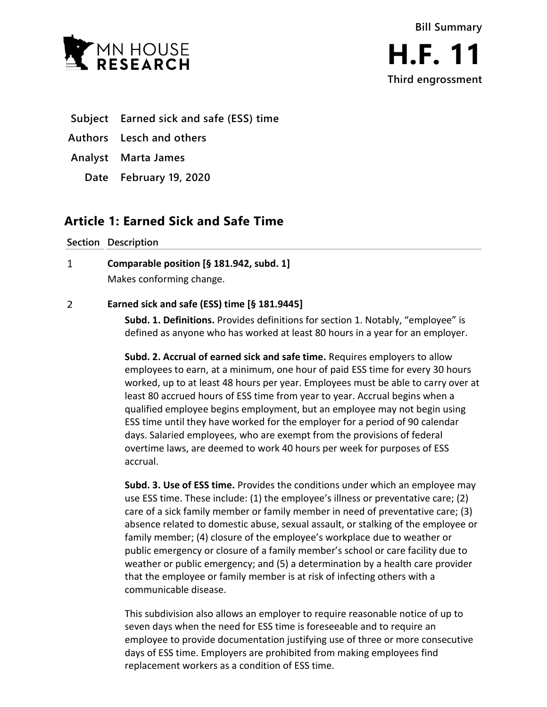



- **Subject Earned sick and safe (ESS) time**
- **Authors Lesch and others**
- **Analyst Marta James**
	- **Date February 19, 2020**

## **Article 1: Earned Sick and Safe Time**

**Section Description**

 $\mathbf{1}$ **Comparable position [§ 181.942, subd. 1]** Makes conforming change.

#### $\overline{2}$ **Earned sick and safe (ESS) time [§ 181.9445]**

**Subd. 1. Definitions.** Provides definitions for section 1. Notably, "employee" is defined as anyone who has worked at least 80 hours in a year for an employer.

**Subd. 2. Accrual of earned sick and safe time.** Requires employers to allow employees to earn, at a minimum, one hour of paid ESS time for every 30 hours worked, up to at least 48 hours per year. Employees must be able to carry over at least 80 accrued hours of ESS time from year to year. Accrual begins when a qualified employee begins employment, but an employee may not begin using ESS time until they have worked for the employer for a period of 90 calendar days. Salaried employees, who are exempt from the provisions of federal overtime laws, are deemed to work 40 hours per week for purposes of ESS accrual.

**Subd. 3. Use of ESS time.** Provides the conditions under which an employee may use ESS time. These include: (1) the employee's illness or preventative care; (2) care of a sick family member or family member in need of preventative care; (3) absence related to domestic abuse, sexual assault, or stalking of the employee or family member; (4) closure of the employee's workplace due to weather or public emergency or closure of a family member's school or care facility due to weather or public emergency; and (5) a determination by a health care provider that the employee or family member is at risk of infecting others with a communicable disease.

This subdivision also allows an employer to require reasonable notice of up to seven days when the need for ESS time is foreseeable and to require an employee to provide documentation justifying use of three or more consecutive days of ESS time. Employers are prohibited from making employees find replacement workers as a condition of ESS time.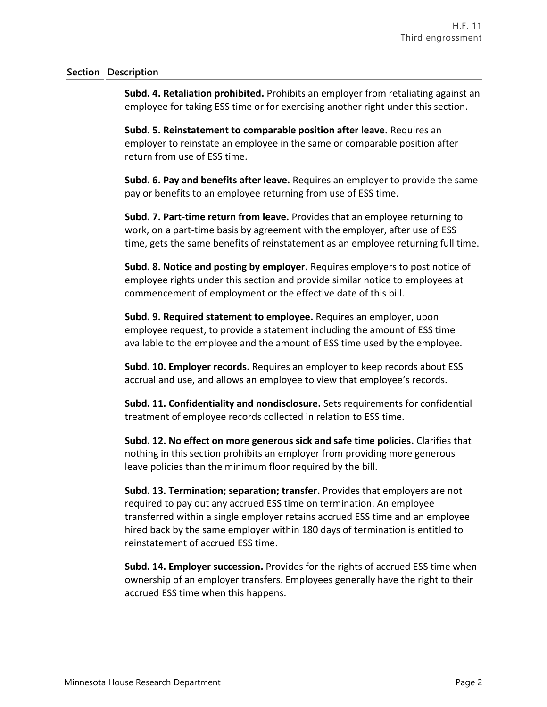### **Section Description**

**Subd. 4. Retaliation prohibited.** Prohibits an employer from retaliating against an employee for taking ESS time or for exercising another right under this section.

**Subd. 5. Reinstatement to comparable position after leave.** Requires an employer to reinstate an employee in the same or comparable position after return from use of ESS time.

**Subd. 6. Pay and benefits after leave.** Requires an employer to provide the same pay or benefits to an employee returning from use of ESS time.

**Subd. 7. Part-time return from leave.** Provides that an employee returning to work, on a part-time basis by agreement with the employer, after use of ESS time, gets the same benefits of reinstatement as an employee returning full time.

**Subd. 8. Notice and posting by employer.** Requires employers to post notice of employee rights under this section and provide similar notice to employees at commencement of employment or the effective date of this bill.

**Subd. 9. Required statement to employee.** Requires an employer, upon employee request, to provide a statement including the amount of ESS time available to the employee and the amount of ESS time used by the employee.

**Subd. 10. Employer records.** Requires an employer to keep records about ESS accrual and use, and allows an employee to view that employee's records.

**Subd. 11. Confidentiality and nondisclosure.** Sets requirements for confidential treatment of employee records collected in relation to ESS time.

**Subd. 12. No effect on more generous sick and safe time policies.** Clarifies that nothing in this section prohibits an employer from providing more generous leave policies than the minimum floor required by the bill.

**Subd. 13. Termination; separation; transfer.** Provides that employers are not required to pay out any accrued ESS time on termination. An employee transferred within a single employer retains accrued ESS time and an employee hired back by the same employer within 180 days of termination is entitled to reinstatement of accrued ESS time.

**Subd. 14. Employer succession.** Provides for the rights of accrued ESS time when ownership of an employer transfers. Employees generally have the right to their accrued ESS time when this happens.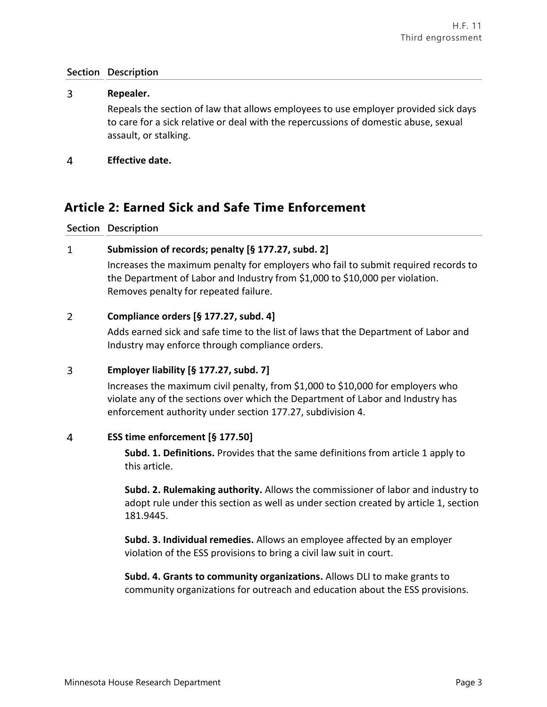### **Section Description**

### 3 **Repealer.** Repeals the section of law that allows employees to use employer provided sick days to care for a sick relative or deal with the repercussions of domestic abuse, sexual assault, or stalking.

 $\overline{4}$ **Effective date.**

## **Article 2: Earned Sick and Safe Time Enforcement**

### **Section Description**

#### $\mathbf{1}$ **Submission of records; penalty [§ 177.27, subd. 2]**

Increases the maximum penalty for employers who fail to submit required records to the Department of Labor and Industry from \$1,000 to \$10,000 per violation. Removes penalty for repeated failure.

#### $\overline{2}$ **Compliance orders [§ 177.27, subd. 4]**

Adds earned sick and safe time to the list of laws that the Department of Labor and Industry may enforce through compliance orders.

#### $\overline{3}$ **Employer liability [§ 177.27, subd. 7]**

Increases the maximum civil penalty, from \$1,000 to \$10,000 for employers who violate any of the sections over which the Department of Labor and Industry has enforcement authority under section 177.27, subdivision 4.

#### $\overline{4}$ **ESS time enforcement [§ 177.50]**

**Subd. 1. Definitions.** Provides that the same definitions from article 1 apply to this article.

**Subd. 2. Rulemaking authority.** Allows the commissioner of labor and industry to adopt rule under this section as well as under section created by article 1, section 181.9445.

**Subd. 3. Individual remedies.** Allows an employee affected by an employer violation of the ESS provisions to bring a civil law suit in court.

**Subd. 4. Grants to community organizations.** Allows DLI to make grants to community organizations for outreach and education about the ESS provisions.